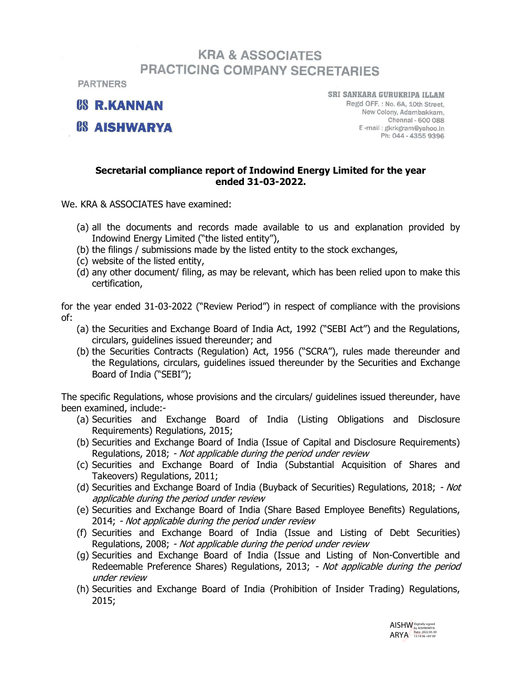## **KRA & ASSOCIATES PRACTICING COMPANY SECRETARIES**

**PARTNERS** 

*P.S. R.KANNAN* 

*CS AISHWARYA* 

SRI SANKARA GURUKRIPA ILLAM Regd OFF.: No. 6A, 10th Street. New Colony, Adambakkam, Chennai - 600 088 E-mail: gkrkgram@yahoo.in Ph: 044 - 4355 9396

## Secretarial compliance report of Indowind Energy Limited for the year ended 31-03-2022.

We. KRA & ASSOCIATES have examined:

- (a) all the documents and records made available to us and explanation provided by Indowind Energy Limited ("the listed entity"),
- (b) the filings / submissions made by the listed entity to the stock exchanges,
- (c) website of the listed entity,
- (d) any other document/ filing, as may be relevant, which has been relied upon to make this certification,

for the year ended 31-03-2022 ("Review Period") in respect of compliance with the provisions of:

- (a) the Securities and Exchange Board of India Act, 1992 ("SEBI Act") and the Regulations, circulars, guidelines issued thereunder; and
- (b) the Securities Contracts (Regulation) Act, 1956 ("SCRA"), rules made thereunder and the Regulations, circulars, guidelines issued thereunder by the Securities and Exchange Board of India ("SEBI");

The specific Regulations, whose provisions and the circulars/ guidelines issued thereunder, have been examined, include:-

- (a) Securities and Exchange Board of India (Listing Obligations and Disclosure Requirements) Regulations, 2015;
- (b) Securities and Exchange Board of India (Issue of Capital and Disclosure Requirements) Regulations, 2018; - Not applicable during the period under review
- (c) Securities and Exchange Board of India (Substantial Acquisition of Shares and Takeovers) Regulations, 2011;
- (d) Securities and Exchange Board of India (Buyback of Securities) Regulations, 2018; Not applicable during the period under review
- (e) Securities and Exchange Board of India (Share Based Employee Benefits) Regulations, 2014; - Not applicable during the period under review
- (f) Securities and Exchange Board of India (Issue and Listing of Debt Securities) Regulations, 2008; - Not applicable during the period under review
- (g) Securities and Exchange Board of India (Issue and Listing of Non-Convertible and Redeemable Preference Shares) Regulations, 2013; - Not applicable during the period under review
- (h) Securities and Exchange Board of India (Prohibition of Insider Trading) Regulations, 2015;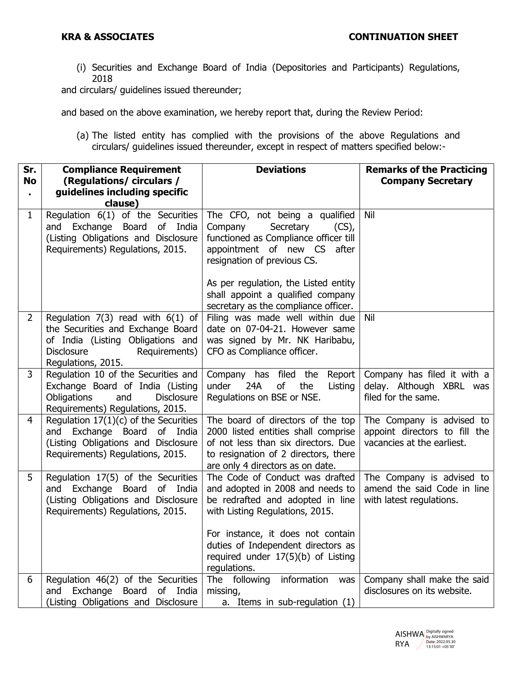(i) Securities and Exchange Board of India (Depositories and Participants) Regulations, 2018

and circulars/ guidelines issued thereunder;

and based on the above examination, we hereby report that, during the Review Period:

(a) The listed entity has complied with the provisions of the above Regulations and circulars/ guidelines issued thereunder, except in respect of matters specified below:-

| Sr.<br><b>No</b><br>$\blacksquare$ | <b>Compliance Requirement</b><br>(Regulations/circulars/<br>guidelines including specific<br>clause)                                                                      | <b>Deviations</b>                                                                                                                                                                                                                                         | <b>Remarks of the Practicing</b><br><b>Company Secretary</b>                             |
|------------------------------------|---------------------------------------------------------------------------------------------------------------------------------------------------------------------------|-----------------------------------------------------------------------------------------------------------------------------------------------------------------------------------------------------------------------------------------------------------|------------------------------------------------------------------------------------------|
| $\mathbf{1}$                       | Regulation 6(1) of the Securities<br>and Exchange Board of India<br>(Listing Obligations and Disclosure<br>Requirements) Regulations, 2015.                               | The CFO, not being a qualified<br>Company<br>Secretary<br>$(CS)$ ,<br>functioned as Compliance officer till<br>appointment of new CS<br>after<br>resignation of previous CS.<br>As per regulation, the Listed entity<br>shall appoint a qualified company | Nil                                                                                      |
|                                    |                                                                                                                                                                           | secretary as the compliance officer.                                                                                                                                                                                                                      |                                                                                          |
| $\overline{2}$                     | Regulation 7(3) read with $6(1)$ of<br>the Securities and Exchange Board<br>of India (Listing Obligations and<br>Requirements)<br><b>Disclosure</b><br>Regulations, 2015. | Filing was made well within due<br>date on 07-04-21. However same<br>was signed by Mr. NK Haribabu,<br>CFO as Compliance officer.                                                                                                                         | Nil                                                                                      |
| 3                                  | Regulation 10 of the Securities and<br>Exchange Board of India (Listing<br><b>Obligations</b><br>and<br><b>Disclosure</b><br>Requirements) Regulations, 2015.             | Company has filed the Report<br>24A<br>of<br>under<br>the<br>Listing<br>Regulations on BSE or NSE.                                                                                                                                                        | Company has filed it with a<br>delay. Although XBRL was<br>filed for the same.           |
| $\overline{4}$                     | Regulation $17(1)(c)$ of the Securities<br>and Exchange Board of India<br>(Listing Obligations and Disclosure<br>Requirements) Regulations, 2015.                         | The board of directors of the top<br>2000 listed entities shall comprise<br>of not less than six directors. Due<br>to resignation of 2 directors, there<br>are only 4 directors as on date.                                                               | The Company is advised to<br>appoint directors to fill the<br>vacancies at the earliest. |
| 5                                  | Regulation 17(5) of the Securities<br>and Exchange Board<br>of India<br>(Listing Obligations and Disclosure<br>Requirements) Regulations, 2015.                           | The Code of Conduct was drafted<br>and adopted in 2008 and needs to<br>be redrafted and adopted in line<br>with Listing Regulations, 2015.<br>For instance, it does not contain<br>duties of Independent directors as                                     | The Company is advised to<br>amend the said Code in line<br>with latest regulations.     |
|                                    |                                                                                                                                                                           | required under 17(5)(b) of Listing<br>regulations.                                                                                                                                                                                                        |                                                                                          |
| 6                                  | Regulation 46(2) of the Securities<br>and Exchange<br>of<br>Board<br>India<br>(Listing Obligations and<br>Disclosure                                                      | information<br>The following<br>was<br>missing,<br>a. Items in sub-regulation (1)                                                                                                                                                                         | Company shall make the said<br>disclosures on its website.                               |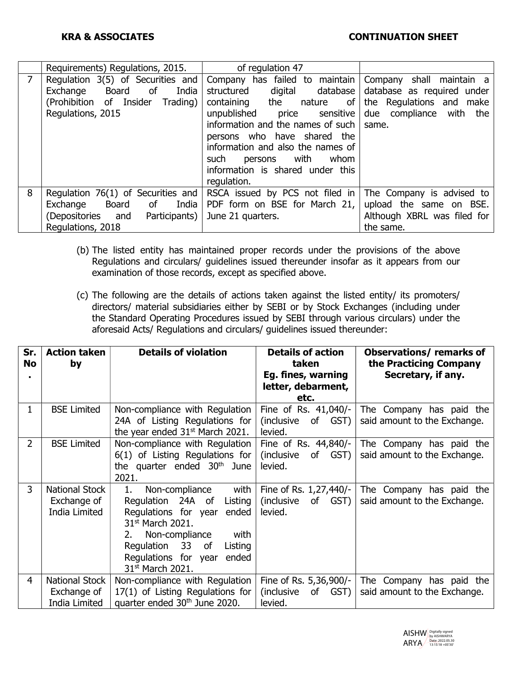|   | Requirements) Regulations, 2015.                                                                                                           | of regulation 47                                                                                                                                                                                                                                                                                                                    |                                                                                                                        |
|---|--------------------------------------------------------------------------------------------------------------------------------------------|-------------------------------------------------------------------------------------------------------------------------------------------------------------------------------------------------------------------------------------------------------------------------------------------------------------------------------------|------------------------------------------------------------------------------------------------------------------------|
| 7 | Regulation $3(5)$ of Securities and<br>India<br>of<br>Exchange<br><b>Board</b><br>(Prohibition of Insider<br>Trading)<br>Regulations, 2015 | Company has failed to maintain<br>digital database<br>structured<br>containing the nature<br>of<br>unpublished<br>sensitive<br>price<br>information and the names of such<br>persons who have shared the<br>information and also the names of<br>with<br>such<br>whom<br>persons<br>information is shared under this<br>regulation. | Company shall maintain a<br>database as required under<br>the Regulations and make<br>due compliance with the<br>same. |
| 8 | Regulation $76(1)$ of Securities and<br>Board<br>of India<br>Exchange<br>(Depositories and<br>Participants)<br>Regulations, 2018           | RSCA issued by PCS not filed in<br>PDF form on BSE for March 21,<br>June 21 quarters.                                                                                                                                                                                                                                               | The Company is advised to<br>upload the same on BSE.<br>Although XBRL was filed for<br>the same.                       |

- (b) The listed entity has maintained proper records under the provisions of the above Regulations and circulars/ guidelines issued thereunder insofar as it appears from our examination of those records, except as specified above.
- (c) The following are the details of actions taken against the listed entity/ its promoters/ directors/ material subsidiaries either by SEBI or by Stock Exchanges (including under the Standard Operating Procedures issued by SEBI through various circulars) under the aforesaid Acts/ Regulations and circulars/ guidelines issued thereunder:

| Sr.<br><b>No</b> | <b>Action taken</b><br>by                      | <b>Details of violation</b>                                                                                                                                                                                                                                   | <b>Details of action</b><br>taken                           | <b>Observations/ remarks of</b><br>the Practicing Company |
|------------------|------------------------------------------------|---------------------------------------------------------------------------------------------------------------------------------------------------------------------------------------------------------------------------------------------------------------|-------------------------------------------------------------|-----------------------------------------------------------|
|                  |                                                |                                                                                                                                                                                                                                                               | Eg. fines, warning<br>letter, debarment,<br>etc.            | Secretary, if any.                                        |
| 1                | <b>BSE Limited</b>                             | Non-compliance with Regulation<br>24A of Listing Regulations for<br>the year ended $31st$ March 2021.                                                                                                                                                         | Fine of Rs. 41,040/-<br>(inclusive of GST)<br>levied.       | The Company has paid the<br>said amount to the Exchange.  |
| $\overline{2}$   | <b>BSE Limited</b>                             | Non-compliance with Regulation<br>6(1) of Listing Regulations for<br>the quarter ended 30 <sup>th</sup> June<br>2021.                                                                                                                                         | Fine of Rs. $44,840$ /-<br>(inclusive of GST)<br>levied.    | The Company has paid the<br>said amount to the Exchange.  |
| 3                | National Stock<br>Exchange of<br>India Limited | with<br>Non-compliance<br>1.<br>Regulation 24A of<br>Listing<br>Regulations for year<br>ended<br>31 <sup>st</sup> March 2021.<br>Non-compliance<br>with<br>2.<br>Regulation 33 of<br>Listing<br>Requlations for year<br>ended<br>31 <sup>st</sup> March 2021. | Fine of Rs. $1,27,440/-$<br>(inclusive of GST)<br>levied.   | The Company has paid the<br>said amount to the Exchange.  |
| 4                | National Stock<br>Exchange of<br>India Limited | Non-compliance with Regulation<br>17(1) of Listing Regulations for<br>quarter ended 30 <sup>th</sup> June 2020.                                                                                                                                               | Fine of Rs. 5,36,900/-<br>(inclusive)<br>of GST)<br>levied. | The Company has paid the<br>said amount to the Exchange.  |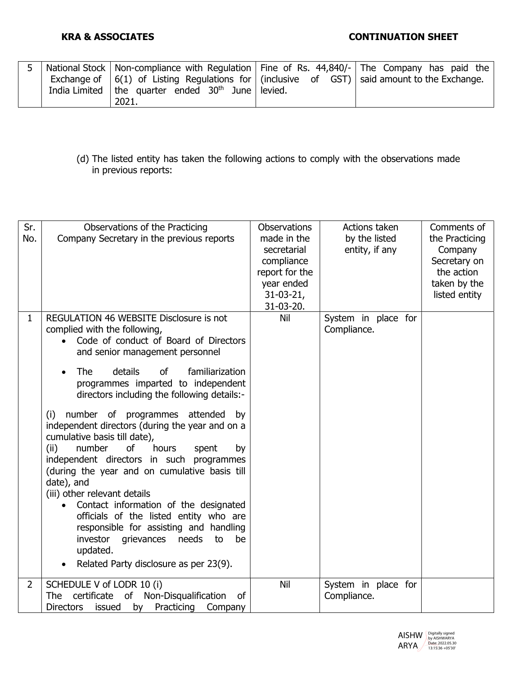|  | National Stock   Non-compliance with Regulation   Fine of Rs. 44,840/- The Company has paid the                                                                        |  |
|--|------------------------------------------------------------------------------------------------------------------------------------------------------------------------|--|
|  | Exchange of $\vert 6(1)$ of Listing Regulations for $\vert$ (inclusive of GST) said amount to the Exchange.<br>India Limited   the quarter ended $30th$ June   levied. |  |
|  | 2021.                                                                                                                                                                  |  |

(d) The listed entity has taken the following actions to comply with the observations made in previous reports:

| Sr.<br>No.     | Observations of the Practicing<br>Company Secretary in the previous reports                                                                                                                                                                                                                                                                                                                                                                                                                                                                              | <b>Observations</b><br>made in the<br>secretarial<br>compliance<br>report for the<br>year ended<br>$31-03-21$ ,<br>31-03-20. | Actions taken<br>by the listed<br>entity, if any | Comments of<br>the Practicing<br>Company<br>Secretary on<br>the action<br>taken by the<br>listed entity |
|----------------|----------------------------------------------------------------------------------------------------------------------------------------------------------------------------------------------------------------------------------------------------------------------------------------------------------------------------------------------------------------------------------------------------------------------------------------------------------------------------------------------------------------------------------------------------------|------------------------------------------------------------------------------------------------------------------------------|--------------------------------------------------|---------------------------------------------------------------------------------------------------------|
| $\mathbf 1$    | REGULATION 46 WEBSITE Disclosure is not<br>complied with the following,<br>Code of conduct of Board of Directors<br>and senior management personnel                                                                                                                                                                                                                                                                                                                                                                                                      | Nil                                                                                                                          | System in place for<br>Compliance.               |                                                                                                         |
|                | <b>The</b><br>details<br>familiarization<br>0f<br>programmes imparted to independent<br>directors including the following details:-                                                                                                                                                                                                                                                                                                                                                                                                                      |                                                                                                                              |                                                  |                                                                                                         |
|                | number of programmes attended by<br>(i)<br>independent directors (during the year and on a<br>cumulative basis till date),<br>(ii)<br><b>of</b><br>number<br>hours<br>spent<br>by<br>independent directors in such programmes<br>(during the year and on cumulative basis till<br>date), and<br>(iii) other relevant details<br>Contact information of the designated<br>officials of the listed entity who are<br>responsible for assisting and handling<br>investor grievances needs<br>to<br>be<br>updated.<br>Related Party disclosure as per 23(9). |                                                                                                                              |                                                  |                                                                                                         |
| $\overline{2}$ | SCHEDULE V of LODR 10 (i)                                                                                                                                                                                                                                                                                                                                                                                                                                                                                                                                | Nil                                                                                                                          | System in place for                              |                                                                                                         |
|                | of Non-Disqualification<br>certificate<br>The<br>0f<br><b>Directors</b><br>issued<br>Practicing<br>by<br>Company                                                                                                                                                                                                                                                                                                                                                                                                                                         |                                                                                                                              | Compliance.                                      |                                                                                                         |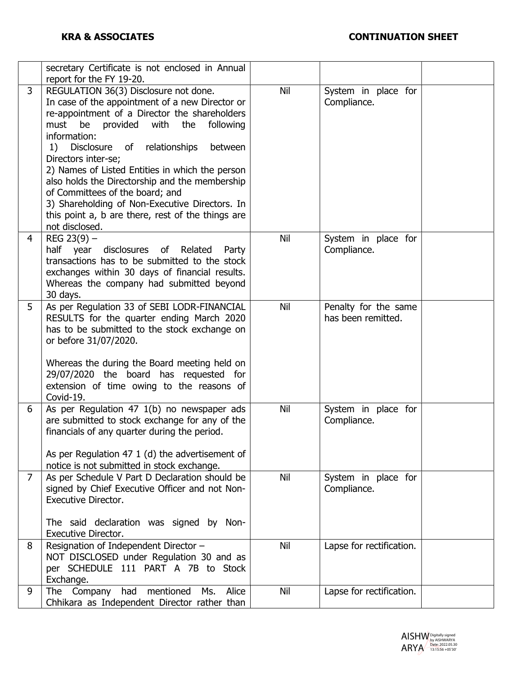|   | secretary Certificate is not enclosed in Annual<br>report for the FY 19-20.                                                                                                                                                                                                                                                                                                                                                                                                                                                                             |     |                                            |  |
|---|---------------------------------------------------------------------------------------------------------------------------------------------------------------------------------------------------------------------------------------------------------------------------------------------------------------------------------------------------------------------------------------------------------------------------------------------------------------------------------------------------------------------------------------------------------|-----|--------------------------------------------|--|
| 3 | REGULATION 36(3) Disclosure not done.<br>In case of the appointment of a new Director or<br>re-appointment of a Director the shareholders<br>must<br>be<br>provided<br>with<br>the<br>following<br>information:<br>of relationships<br>1) Disclosure<br>between<br>Directors inter-se;<br>2) Names of Listed Entities in which the person<br>also holds the Directorship and the membership<br>of Committees of the board; and<br>3) Shareholding of Non-Executive Directors. In<br>this point a, b are there, rest of the things are<br>not disclosed. | Nil | System in place for<br>Compliance.         |  |
| 4 | REG $23(9)$ –<br>disclosures of<br>half year<br>Related<br>Party<br>transactions has to be submitted to the stock<br>exchanges within 30 days of financial results.<br>Whereas the company had submitted beyond<br>30 days.                                                                                                                                                                                                                                                                                                                             | Nil | System in place for<br>Compliance.         |  |
| 5 | As per Regulation 33 of SEBI LODR-FINANCIAL<br>RESULTS for the quarter ending March 2020<br>has to be submitted to the stock exchange on<br>or before 31/07/2020.<br>Whereas the during the Board meeting held on<br>29/07/2020 the board has requested for<br>extension of time owing to the reasons of<br>Covid-19.                                                                                                                                                                                                                                   | Nil | Penalty for the same<br>has been remitted. |  |
| 6 | As per Regulation 47 1(b) no newspaper ads<br>are submitted to stock exchange for any of the<br>financials of any quarter during the period.<br>As per Regulation 47 1 (d) the advertisement of<br>notice is not submitted in stock exchange.                                                                                                                                                                                                                                                                                                           | Nil | System in place for<br>Compliance.         |  |
| 7 | As per Schedule V Part D Declaration should be<br>signed by Chief Executive Officer and not Non-<br>Executive Director.<br>The said declaration was signed by Non-<br><b>Executive Director.</b>                                                                                                                                                                                                                                                                                                                                                        | Nil | System in place for<br>Compliance.         |  |
| 8 | Resignation of Independent Director -<br>NOT DISCLOSED under Regulation 30 and as<br>per SCHEDULE 111 PART A 7B to Stock<br>Exchange.                                                                                                                                                                                                                                                                                                                                                                                                                   | Nil | Lapse for rectification.                   |  |
| 9 | The Company<br>had mentioned<br>Alice<br>Ms.<br>Chhikara as Independent Director rather than                                                                                                                                                                                                                                                                                                                                                                                                                                                            | Nil | Lapse for rectification.                   |  |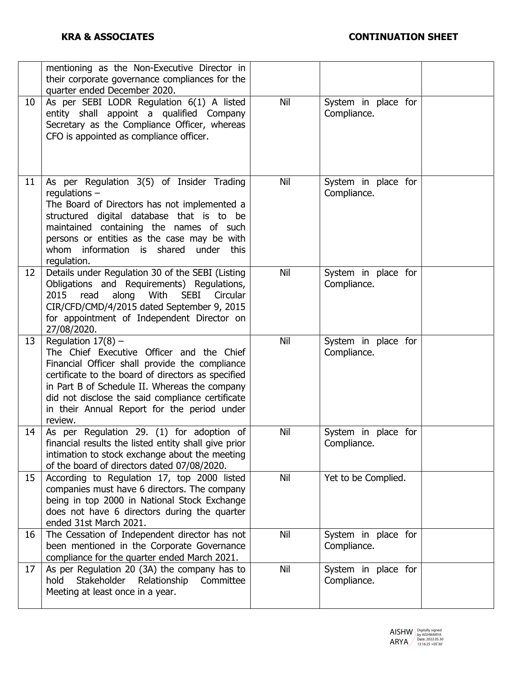|    | mentioning as the Non-Executive Director in<br>their corporate governance compliances for the<br>quarter ended December 2020.                                                                                                                                                                                                            |            |                                    |  |
|----|------------------------------------------------------------------------------------------------------------------------------------------------------------------------------------------------------------------------------------------------------------------------------------------------------------------------------------------|------------|------------------------------------|--|
| 10 | As per SEBI LODR Regulation 6(1) A listed<br>entity shall appoint a qualified Company<br>Secretary as the Compliance Officer, whereas<br>CFO is appointed as compliance officer.                                                                                                                                                         | Nil        | System in place for<br>Compliance. |  |
| 11 | As per Regulation 3(5) of Insider Trading<br>regulations $-$<br>The Board of Directors has not implemented a<br>structured digital database that is to be<br>maintained containing the names of such<br>persons or entities as the case may be with<br>whom information is shared under<br>this<br>regulation.                           | Nil        | System in place for<br>Compliance. |  |
| 12 | Details under Regulation 30 of the SEBI (Listing<br>Obligations and Requirements) Regulations,<br>2015<br>along<br>With<br><b>SEBI</b><br>read<br>Circular<br>CIR/CFD/CMD/4/2015 dated September 9, 2015<br>for appointment of Independent Director on<br>27/08/2020.                                                                    | Nil        | System in place for<br>Compliance. |  |
| 13 | Regulation $17(8)$ -<br>The Chief Executive Officer and the Chief<br>Financial Officer shall provide the compliance<br>certificate to the board of directors as specified<br>in Part B of Schedule II. Whereas the company<br>did not disclose the said compliance certificate<br>in their Annual Report for the period under<br>review. | Nil        | System in place for<br>Compliance. |  |
| 14 | As per Regulation 29. (1) for adoption of<br>financial results the listed entity shall give prior<br>intimation to stock exchange about the meeting<br>of the board of directors dated 07/08/2020.                                                                                                                                       | Nil        | System in place for<br>Compliance. |  |
| 15 | According to Regulation 17, top 2000 listed<br>companies must have 6 directors. The company<br>being in top 2000 in National Stock Exchange<br>does not have 6 directors during the quarter<br>ended 31st March 2021.                                                                                                                    | Nil        | Yet to be Complied.                |  |
| 16 | The Cessation of Independent director has not<br>been mentioned in the Corporate Governance<br>compliance for the quarter ended March 2021.                                                                                                                                                                                              | Nil        | System in place for<br>Compliance. |  |
| 17 | As per Regulation 20 (3A) the company has to<br>hold<br>Stakeholder<br>Relationship<br>Committee<br>Meeting at least once in a year.                                                                                                                                                                                                     | <b>Nil</b> | System in place for<br>Compliance. |  |